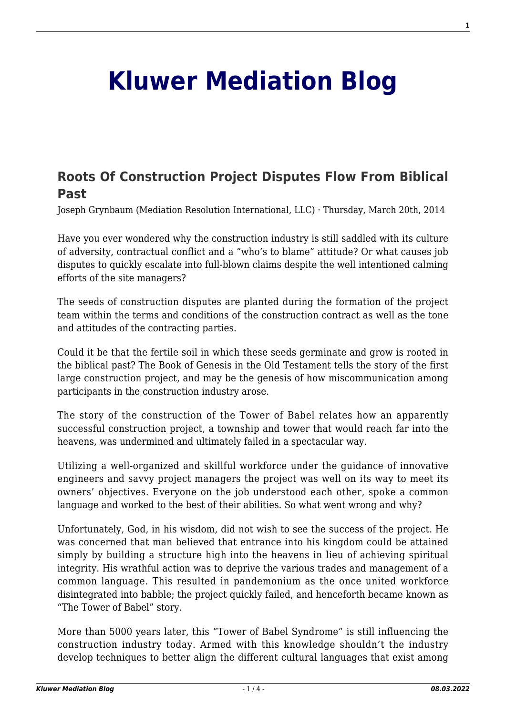## **[Kluwer Mediation Blog](http://mediationblog.kluwerarbitration.com/)**

## **[Roots Of Construction Project Disputes Flow From Biblical](http://mediationblog.kluwerarbitration.com/2014/03/20/roots-of-construction-project-disputes-flow-from-biblical-past/) [Past](http://mediationblog.kluwerarbitration.com/2014/03/20/roots-of-construction-project-disputes-flow-from-biblical-past/)**

Joseph Grynbaum (Mediation Resolution International, LLC) · Thursday, March 20th, 2014

Have you ever wondered why the construction industry is still saddled with its culture of adversity, contractual conflict and a "who's to blame" attitude? Or what causes job disputes to quickly escalate into full-blown claims despite the well intentioned calming efforts of the site managers?

The seeds of construction disputes are planted during the formation of the project team within the terms and conditions of the construction contract as well as the tone and attitudes of the contracting parties.

Could it be that the fertile soil in which these seeds germinate and grow is rooted in the biblical past? The Book of Genesis in the Old Testament tells the story of the first large construction project, and may be the genesis of how miscommunication among participants in the construction industry arose.

The story of the construction of the Tower of Babel relates how an apparently successful construction project, a township and tower that would reach far into the heavens, was undermined and ultimately failed in a spectacular way.

Utilizing a well-organized and skillful workforce under the guidance of innovative engineers and savvy project managers the project was well on its way to meet its owners' objectives. Everyone on the job understood each other, spoke a common language and worked to the best of their abilities. So what went wrong and why?

Unfortunately, God, in his wisdom, did not wish to see the success of the project. He was concerned that man believed that entrance into his kingdom could be attained simply by building a structure high into the heavens in lieu of achieving spiritual integrity. His wrathful action was to deprive the various trades and management of a common language. This resulted in pandemonium as the once united workforce disintegrated into babble; the project quickly failed, and henceforth became known as "The Tower of Babel" story.

More than 5000 years later, this "Tower of Babel Syndrome" is still influencing the construction industry today. Armed with this knowledge shouldn't the industry develop techniques to better align the different cultural languages that exist among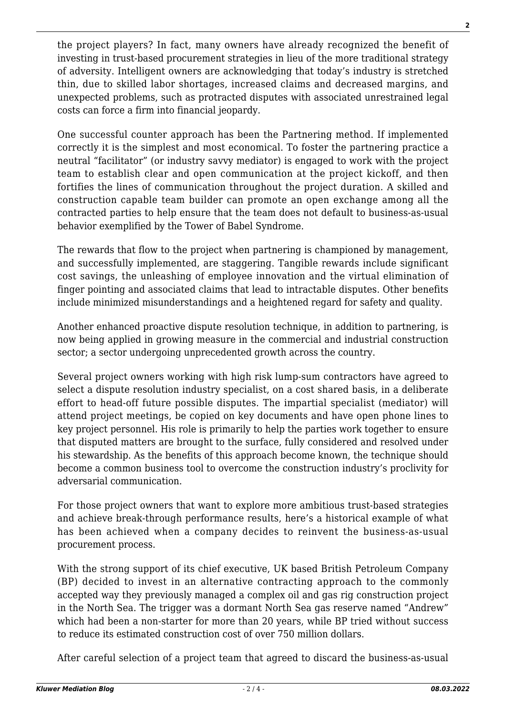the project players? In fact, many owners have already recognized the benefit of investing in trust-based procurement strategies in lieu of the more traditional strategy of adversity. Intelligent owners are acknowledging that today's industry is stretched thin, due to skilled labor shortages, increased claims and decreased margins, and unexpected problems, such as protracted disputes with associated unrestrained legal costs can force a firm into financial jeopardy.

One successful counter approach has been the Partnering method. If implemented correctly it is the simplest and most economical. To foster the partnering practice a neutral "facilitator" (or industry savvy mediator) is engaged to work with the project team to establish clear and open communication at the project kickoff, and then fortifies the lines of communication throughout the project duration. A skilled and construction capable team builder can promote an open exchange among all the contracted parties to help ensure that the team does not default to business-as-usual behavior exemplified by the Tower of Babel Syndrome.

The rewards that flow to the project when partnering is championed by management, and successfully implemented, are staggering. Tangible rewards include significant cost savings, the unleashing of employee innovation and the virtual elimination of finger pointing and associated claims that lead to intractable disputes. Other benefits include minimized misunderstandings and a heightened regard for safety and quality.

Another enhanced proactive dispute resolution technique, in addition to partnering, is now being applied in growing measure in the commercial and industrial construction sector; a sector undergoing unprecedented growth across the country.

Several project owners working with high risk lump-sum contractors have agreed to select a dispute resolution industry specialist, on a cost shared basis, in a deliberate effort to head-off future possible disputes. The impartial specialist (mediator) will attend project meetings, be copied on key documents and have open phone lines to key project personnel. His role is primarily to help the parties work together to ensure that disputed matters are brought to the surface, fully considered and resolved under his stewardship. As the benefits of this approach become known, the technique should become a common business tool to overcome the construction industry's proclivity for adversarial communication.

For those project owners that want to explore more ambitious trust-based strategies and achieve break-through performance results, here's a historical example of what has been achieved when a company decides to reinvent the business-as-usual procurement process.

With the strong support of its chief executive, UK based British Petroleum Company (BP) decided to invest in an alternative contracting approach to the commonly accepted way they previously managed a complex oil and gas rig construction project in the North Sea. The trigger was a dormant North Sea gas reserve named "Andrew" which had been a non-starter for more than 20 years, while BP tried without success to reduce its estimated construction cost of over 750 million dollars.

After careful selection of a project team that agreed to discard the business-as-usual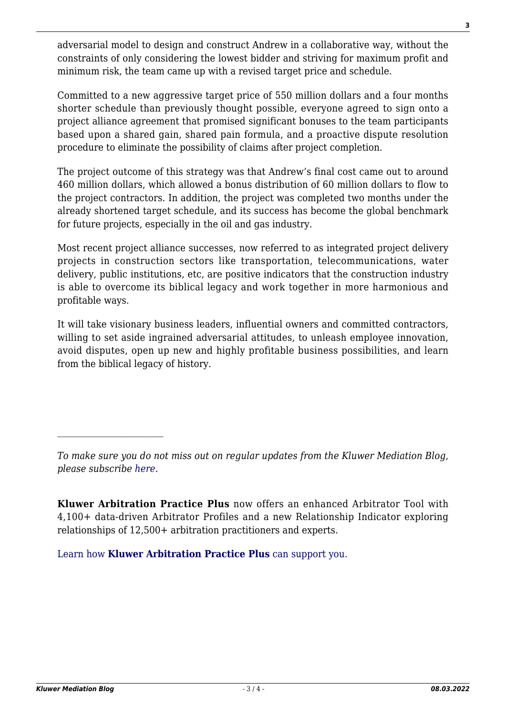adversarial model to design and construct Andrew in a collaborative way, without the constraints of only considering the lowest bidder and striving for maximum profit and minimum risk, the team came up with a revised target price and schedule.

Committed to a new aggressive target price of 550 million dollars and a four months shorter schedule than previously thought possible, everyone agreed to sign onto a project alliance agreement that promised significant bonuses to the team participants based upon a shared gain, shared pain formula, and a proactive dispute resolution procedure to eliminate the possibility of claims after project completion.

The project outcome of this strategy was that Andrew's final cost came out to around 460 million dollars, which allowed a bonus distribution of 60 million dollars to flow to the project contractors. In addition, the project was completed two months under the already shortened target schedule, and its success has become the global benchmark for future projects, especially in the oil and gas industry.

Most recent project alliance successes, now referred to as integrated project delivery projects in construction sectors like transportation, telecommunications, water delivery, public institutions, etc, are positive indicators that the construction industry is able to overcome its biblical legacy and work together in more harmonious and profitable ways.

It will take visionary business leaders, influential owners and committed contractors, willing to set aside ingrained adversarial attitudes, to unleash employee innovation, avoid disputes, open up new and highly profitable business possibilities, and learn from the biblical legacy of history.

**Kluwer Arbitration Practice Plus** now offers an enhanced Arbitrator Tool with 4,100+ data-driven Arbitrator Profiles and a new Relationship Indicator exploring relationships of 12,500+ arbitration practitioners and experts.

[Learn how](https://www.wolterskluwer.com/en/solutions/kluwerarbitration/practiceplus?utm_source=mediationblog&utm_medium=articleCTA&utm_campaign=article-banner) **[Kluwer Arbitration Practice Plus](https://www.wolterskluwer.com/en/solutions/kluwerarbitration/practiceplus?utm_source=mediationblog&utm_medium=articleCTA&utm_campaign=article-banner)** [can support you.](https://www.wolterskluwer.com/en/solutions/kluwerarbitration/practiceplus?utm_source=mediationblog&utm_medium=articleCTA&utm_campaign=article-banner)

 $\mathcal{L}_\text{max}$ 

*To make sure you do not miss out on regular updates from the Kluwer Mediation Blog, please subscribe [here.](http://mediationblog.kluwerarbitration.com/newsletter/)*